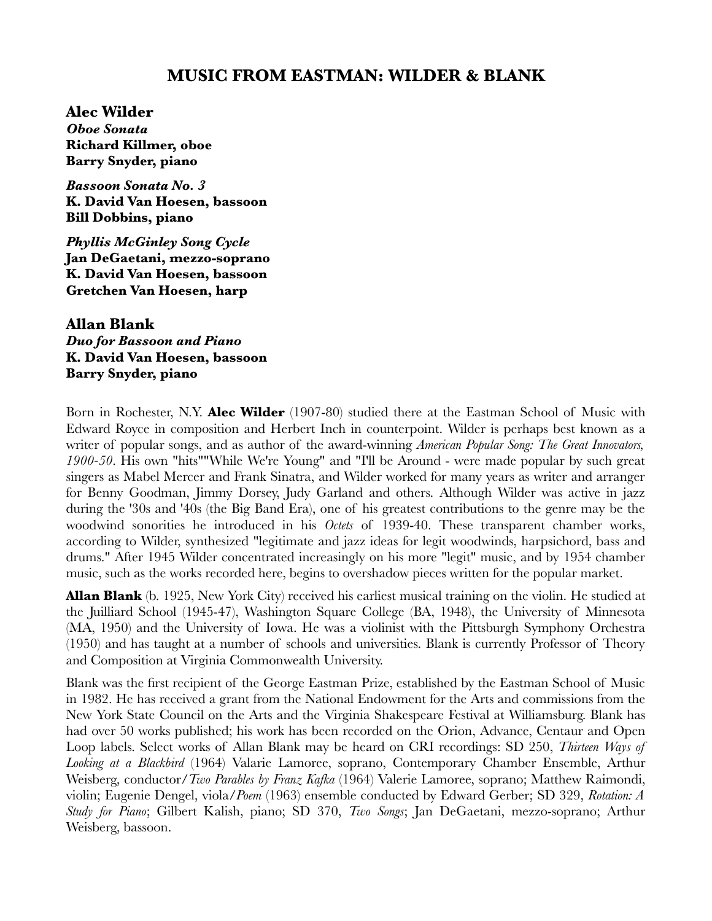# **MUSIC FROM EASTMAN: WILDER & BLANK**

**Alec Wilder** *Oboe Sonata* **Richard Killmer, oboe Barry Snyder, piano**

*Bassoon Sonata No. 3* **K. David Van Hoesen, bassoon Bill Dobbins, piano**

*Phyllis McGinley Song Cycle* **Jan DeGaetani, mezzo-soprano K. David Van Hoesen, bassoon Gretchen Van Hoesen, harp** 

**Allan Blank** *Duo for Bassoon and Piano* **K. David Van Hoesen, bassoon Barry Snyder, piano**

Born in Rochester, N.Y. **Alec Wilder** (1907-80) studied there at the Eastman School of Music with Edward Royce in composition and Herbert Inch in counterpoint. Wilder is perhaps best known as a writer of popular songs, and as author of the award-winning *American Popular Song: The Great Innovators, 1900-50*. His own "hits""While We're Young" and "I'll be Around - were made popular by such great singers as Mabel Mercer and Frank Sinatra, and Wilder worked for many years as writer and arranger for Benny Goodman, Jimmy Dorsey, Judy Garland and others. Although Wilder was active in jazz during the '30s and '40s (the Big Band Era), one of his greatest contributions to the genre may be the woodwind sonorities he introduced in his *Octets* of 1939-40. These transparent chamber works, according to Wilder, synthesized "legitimate and jazz ideas for legit woodwinds, harpsichord, bass and drums." After 1945 Wilder concentrated increasingly on his more "legit" music, and by 1954 chamber music, such as the works recorded here, begins to overshadow pieces written for the popular market.

**Allan Blank** (b. 1925, New York City) received his earliest musical training on the violin. He studied at the Juilliard School (1945-47), Washington Square College (BA, 1948), the University of Minnesota (MA, 1950) and the University of Iowa. He was a violinist with the Pittsburgh Symphony Orchestra (1950) and has taught at a number of schools and universities. Blank is currently Professor of Theory and Composition at Virginia Commonwealth University.

Blank was the first recipient of the George Eastman Prize, established by the Eastman School of Music in 1982. He has received a grant from the National Endowment for the Arts and commissions from the New York State Council on the Arts and the Virginia Shakespeare Festival at Williamsburg. Blank has had over 50 works published; his work has been recorded on the Orion, Advance, Centaur and Open Loop labels. Select works of Allan Blank may be heard on CRI recordings: SD 250, *Thirteen Ways of Looking at a Blackbird* (1964) Valarie Lamoree, soprano, Contemporary Chamber Ensemble, Arthur Weisberg, conductor/*Two Parables by Franz Kafka* (1964) Valerie Lamoree, soprano; Matthew Raimondi, violin; Eugenie Dengel, viola/*Poem* (1963) ensemble conducted by Edward Gerber; SD 329, *Rotation: A Study for Piano*; Gilbert Kalish, piano; SD 370, *Two Songs*; Jan DeGaetani, mezzo-soprano; Arthur Weisberg, bassoon.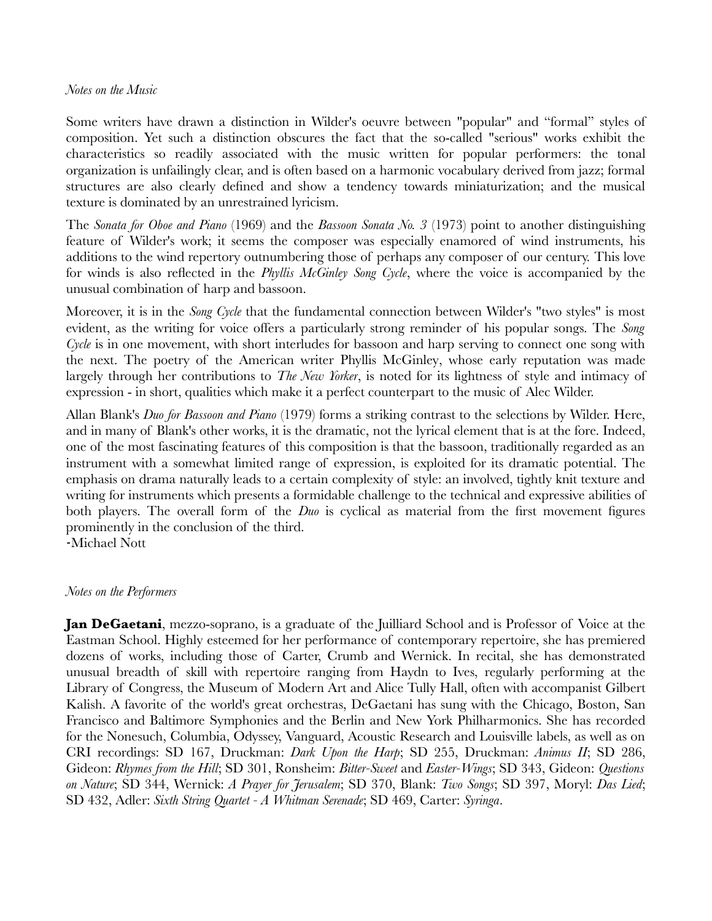### *Notes on the Music*

Some writers have drawn a distinction in Wilder's oeuvre between "popular" and "formal" styles of composition. Yet such a distinction obscures the fact that the so-called "serious" works exhibit the characteristics so readily associated with the music written for popular performers: the tonal organization is unfailingly clear, and is often based on a harmonic vocabulary derived from jazz; formal structures are also clearly defined and show a tendency towards miniaturization; and the musical texture is dominated by an unrestrained lyricism.

The *Sonata for Oboe and Piano* (1969) and the *Bassoon Sonata No. 3* (1973) point to another distinguishing feature of Wilder's work; it seems the composer was especially enamored of wind instruments, his additions to the wind repertory outnumbering those of perhaps any composer of our century. This love for winds is also reflected in the *Phyllis McGinley Song Cycle*, where the voice is accompanied by the unusual combination of harp and bassoon.

Moreover, it is in the *Song Cycle* that the fundamental connection between Wilder's "two styles" is most evident, as the writing for voice offers a particularly strong reminder of his popular songs. The *Song Cycle* is in one movement, with short interludes for bassoon and harp serving to connect one song with the next. The poetry of the American writer Phyllis McGinley, whose early reputation was made largely through her contributions to *The New Yorker*, is noted for its lightness of style and intimacy of expression - in short, qualities which make it a perfect counterpart to the music of Alec Wilder.

Allan Blank's *Duo for Bassoon and Piano* (1979) forms a striking contrast to the selections by Wilder. Here, and in many of Blank's other works, it is the dramatic, not the lyrical element that is at the fore. Indeed, one of the most fascinating features of this composition is that the bassoon, traditionally regarded as an instrument with a somewhat limited range of expression, is exploited for its dramatic potential. The emphasis on drama naturally leads to a certain complexity of style: an involved, tightly knit texture and writing for instruments which presents a formidable challenge to the technical and expressive abilities of both players. The overall form of the *Duo* is cyclical as material from the first movement figures prominently in the conclusion of the third.

-Michael Nott

### *Notes on the Performers*

**Jan DeGaetani**, mezzo-soprano, is a graduate of the Juilliard School and is Professor of Voice at the Eastman School. Highly esteemed for her performance of contemporary repertoire, she has premiered dozens of works, including those of Carter, Crumb and Wernick. In recital, she has demonstrated unusual breadth of skill with repertoire ranging from Haydn to Ives, regularly performing at the Library of Congress, the Museum of Modern Art and Alice Tully Hall, often with accompanist Gilbert Kalish. A favorite of the world's great orchestras, DeGaetani has sung with the Chicago, Boston, San Francisco and Baltimore Symphonies and the Berlin and New York Philharmonics. She has recorded for the Nonesuch, Columbia, Odyssey, Vanguard, Acoustic Research and Louisville labels, as well as on CRI recordings: SD 167, Druckman: *Dark Upon the Harp*; SD 255, Druckman: *Animus II*; SD 286, Gideon: *Rhymes from the Hill*; SD 301, Ronsheim: *Bitter-Sweet* and *Easter-Wings*; SD 343, Gideon: *Questions on Nature*; SD 344, Wernick: *A Prayer for Jerusalem*; SD 370, Blank: *Two Songs*; SD 397, Moryl: *Das Lied*; SD 432, Adler: *Sixth String Quartet - A Whitman Serenade*; SD 469, Carter: *Syringa*.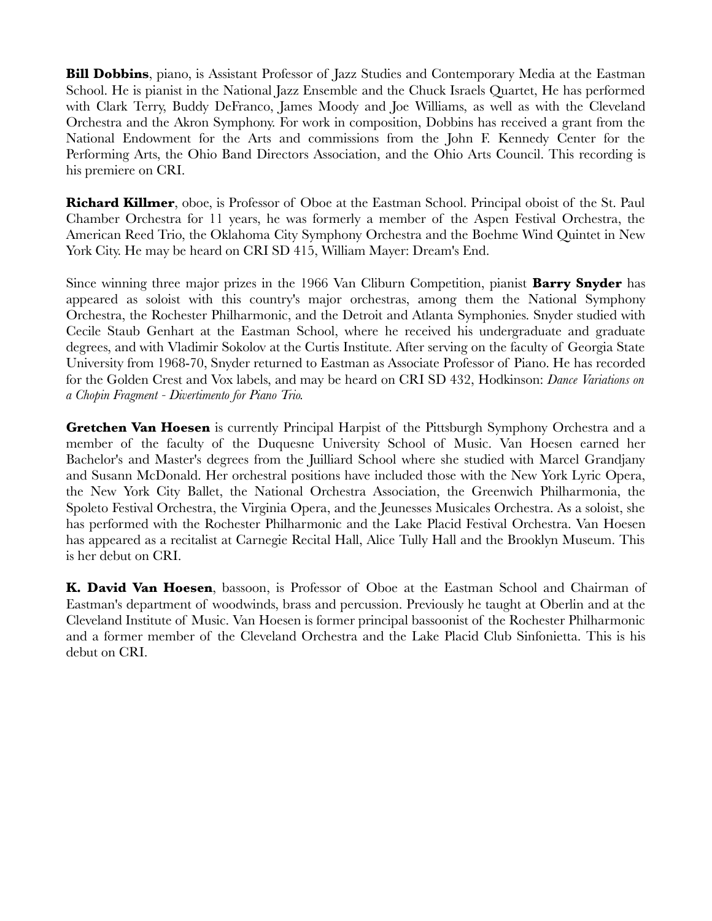**Bill Dobbins**, piano, is Assistant Professor of Jazz Studies and Contemporary Media at the Eastman School. He is pianist in the National Jazz Ensemble and the Chuck Israels Quartet, He has performed with Clark Terry, Buddy DeFranco, James Moody and Joe Williams, as well as with the Cleveland Orchestra and the Akron Symphony. For work in composition, Dobbins has received a grant from the National Endowment for the Arts and commissions from the John F. Kennedy Center for the Performing Arts, the Ohio Band Directors Association, and the Ohio Arts Council. This recording is his premiere on CRI.

**Richard Killmer**, oboe, is Professor of Oboe at the Eastman School. Principal oboist of the St. Paul Chamber Orchestra for 11 years, he was formerly a member of the Aspen Festival Orchestra, the American Reed Trio, the Oklahoma City Symphony Orchestra and the Boehme Wind Quintet in New York City. He may be heard on CRI SD 415, William Mayer: Dream's End.

Since winning three major prizes in the 1966 Van Cliburn Competition, pianist **Barry Snyder** has appeared as soloist with this country's major orchestras, among them the National Symphony Orchestra, the Rochester Philharmonic, and the Detroit and Atlanta Symphonies. Snyder studied with Cecile Staub Genhart at the Eastman School, where he received his undergraduate and graduate degrees, and with Vladimir Sokolov at the Curtis Institute. After serving on the faculty of Georgia State University from 1968-70, Snyder returned to Eastman as Associate Professor of Piano. He has recorded for the Golden Crest and Vox labels, and may be heard on CRI SD 432, Hodkinson: *Dance Variations on a Chopin Fragment - Divertimento for Piano Trio.*

**Gretchen Van Hoesen** is currently Principal Harpist of the Pittsburgh Symphony Orchestra and a member of the faculty of the Duquesne University School of Music. Van Hoesen earned her Bachelor's and Master's degrees from the Juilliard School where she studied with Marcel Grandjany and Susann McDonald. Her orchestral positions have included those with the New York Lyric Opera, the New York City Ballet, the National Orchestra Association, the Greenwich Philharmonia, the Spoleto Festival Orchestra, the Virginia Opera, and the Jeunesses Musicales Orchestra. As a soloist, she has performed with the Rochester Philharmonic and the Lake Placid Festival Orchestra. Van Hoesen has appeared as a recitalist at Carnegie Recital Hall, Alice Tully Hall and the Brooklyn Museum. This is her debut on CRI.

**K. David Van Hoesen**, bassoon, is Professor of Oboe at the Eastman School and Chairman of Eastman's department of woodwinds, brass and percussion. Previously he taught at Oberlin and at the Cleveland Institute of Music. Van Hoesen is former principal bassoonist of the Rochester Philharmonic and a former member of the Cleveland Orchestra and the Lake Placid Club Sinfonietta. This is his debut on CRI.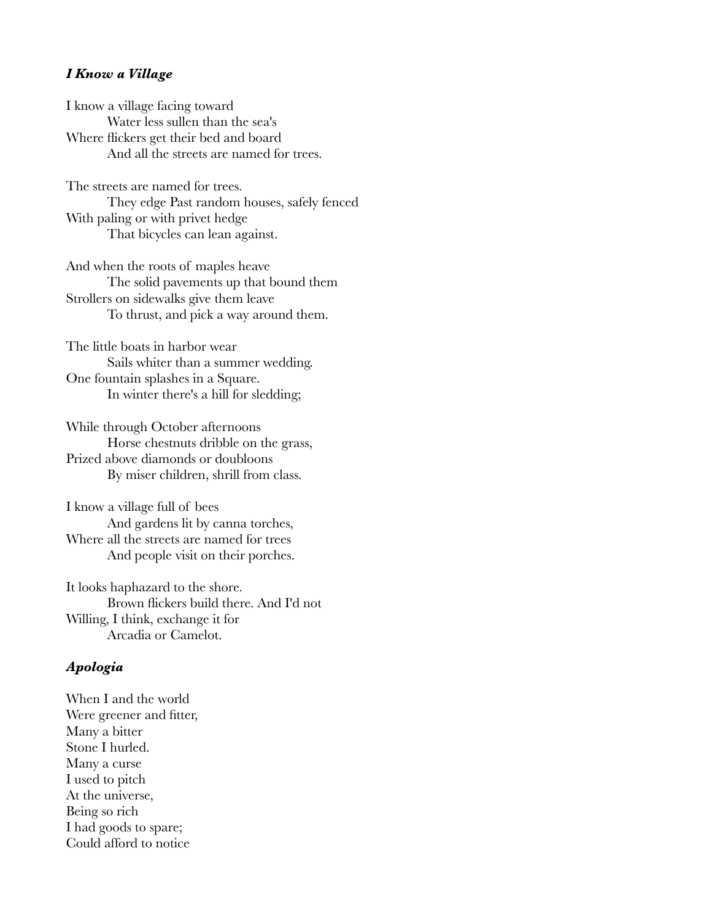#### *I Know a Village*

I know a village facing toward Water less sullen than the sea's Where flickers get their bed and board And all the streets are named for trees.

The streets are named for trees. They edge Past random houses, safely fenced With paling or with privet hedge

That bicycles can lean against.

And when the roots of maples heave The solid pavements up that bound them Strollers on sidewalks give them leave To thrust, and pick a way around them.

The little boats in harbor wear Sails whiter than a summer wedding. One fountain splashes in a Square. In winter there's a hill for sledding;

While through October afternoons Horse chestnuts dribble on the grass, Prized above diamonds or doubloons By miser children, shrill from class.

I know a village full of bees And gardens lit by canna torches, Where all the streets are named for trees And people visit on their porches.

It looks haphazard to the shore. Brown flickers build there. And I'd not Willing, I think, exchange it for Arcadia or Camelot.

### *Apologia*

When I and the world Were greener and fitter, Many a bitter Stone I hurled. Many a curse I used to pitch At the universe, Being so rich I had goods to spare; Could afford to notice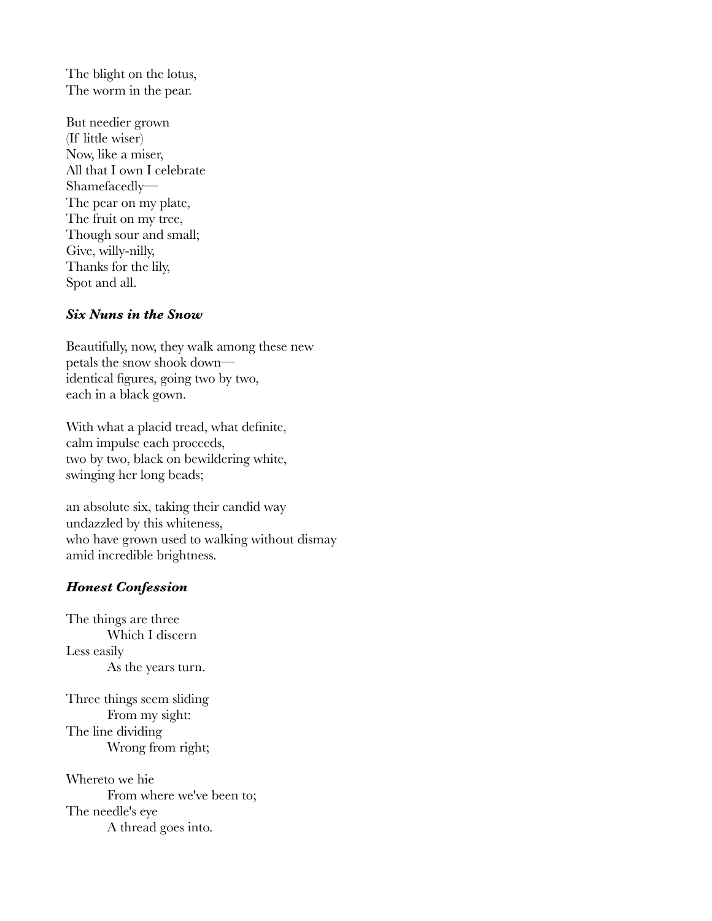The blight on the lotus, The worm in the pear.

But needier grown (If little wiser) Now, like a miser, All that I own I celebrate Shamefacedly— The pear on my plate, The fruit on my tree, Though sour and small; Give, willy-nilly, Thanks for the lily, Spot and all.

### *Six Nuns in the Snow*

Beautifully, now, they walk among these new petals the snow shook down identical figures, going two by two, each in a black gown.

With what a placid tread, what definite, calm impulse each proceeds, two by two, black on bewildering white, swinging her long beads;

an absolute six, taking their candid way undazzled by this whiteness, who have grown used to walking without dismay amid incredible brightness.

## *Honest Confession*

The things are three Which I discern Less easily As the years turn.

Three things seem sliding From my sight: The line dividing Wrong from right;

Whereto we hie From where we've been to; The needle's eye A thread goes into.